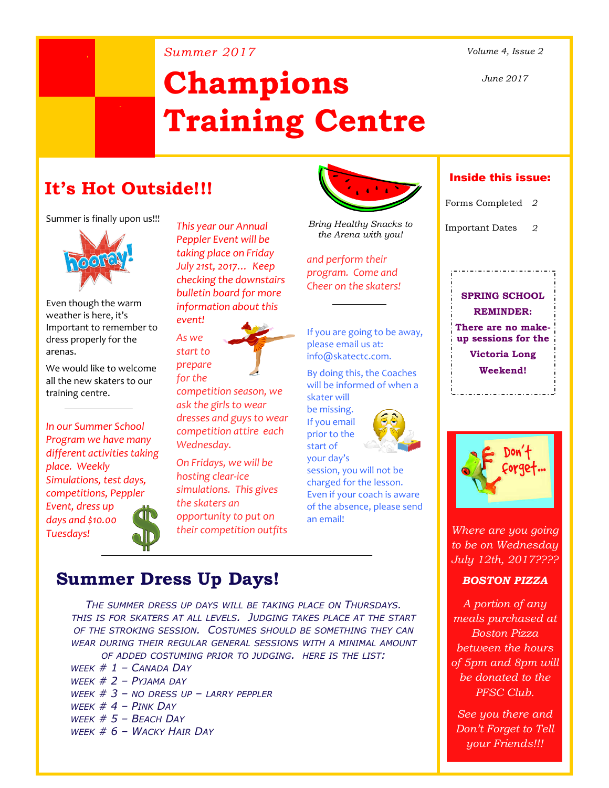#### *Summer 2017 Volume 4, Issue 2*

*June 2017*

# **Champions Training Centre**

# **It's Hot Outside!!!**

Summer is finally upon us!!!



Even though the warm weather is here, it's Important to remember to dress properly for the arenas.

We would like to welcome all the new skaters to our training centre.

*In our Summer School Program we have many different activities taking place. Weekly Simulations, test days, competitions, Peppler*

*Event, dress up days and \$10.00 Tuesdays!*



*This year our Annual Peppler Event will be taking place on Friday July 21st, 2017… Keep checking the downstairs bulletin board for more information about this event!*



*competition season, we ask the girls to wear dresses and guys to wear competition attire each Wednesday.*

*On Fridays, we will be hosting clear-ice simulations. This gives the skaters an opportunity to put on their competition outfits*



*Bring Healthy Snacks to the Arena with you!*

*and perform their program. Come and Cheer on the skaters!*

If you are going to be away, please email us at: info@skatectc.com.

By doing this, the Coaches will be informed of when a skater will

be missing. If you email prior to the start of



your day's session, you will not be charged for the lesson. Even if your coach is aware of the absence, please send an email!

## Inside this issue:

Forms Completed *2*

Important Dates *2*

**SPRING SCHOOL REMINDER: There are no makeup sessions for the**

**Victoria Long Weekend!**



*Where are you going to be on Wednesday July 12th, 2017????*

### *BOSTON PIZZA*

*A portion of any meals purchased at Boston Pizza between the hours of 5pm and 8pm will be donated to the PFSC Club.*

*See you there and Don't Forget to Tell your Friends!!!*

## **Summer Dress Up Days!**

*THE SUMMER DRESS UP DAYS WILL BE TAKING PLACE ON THURSDAYS. THIS IS FOR SKATERS AT ALL LEVELS. JUDGING TAKES PLACE AT THE START OF THE STROKING SESSION. COSTUMES SHOULD BE SOMETHING THEY CAN WEAR DURING THEIR REGULAR GENERAL SESSIONS WITH A MINIMAL AMOUNT OF ADDED COSTUMING PRIOR TO JUDGING. HERE IS THE LIST:*

*WEEK # 1 – CANADA DAY WEEK # 2 – PYJAMA DAY WEEK # 3 – NO DRESS UP – LARRY PEPPLER WEEK # 4 – PINK DAY WEEK # 5 – BEACH DAY WEEK # 6 – WACKY HAIR DAY*